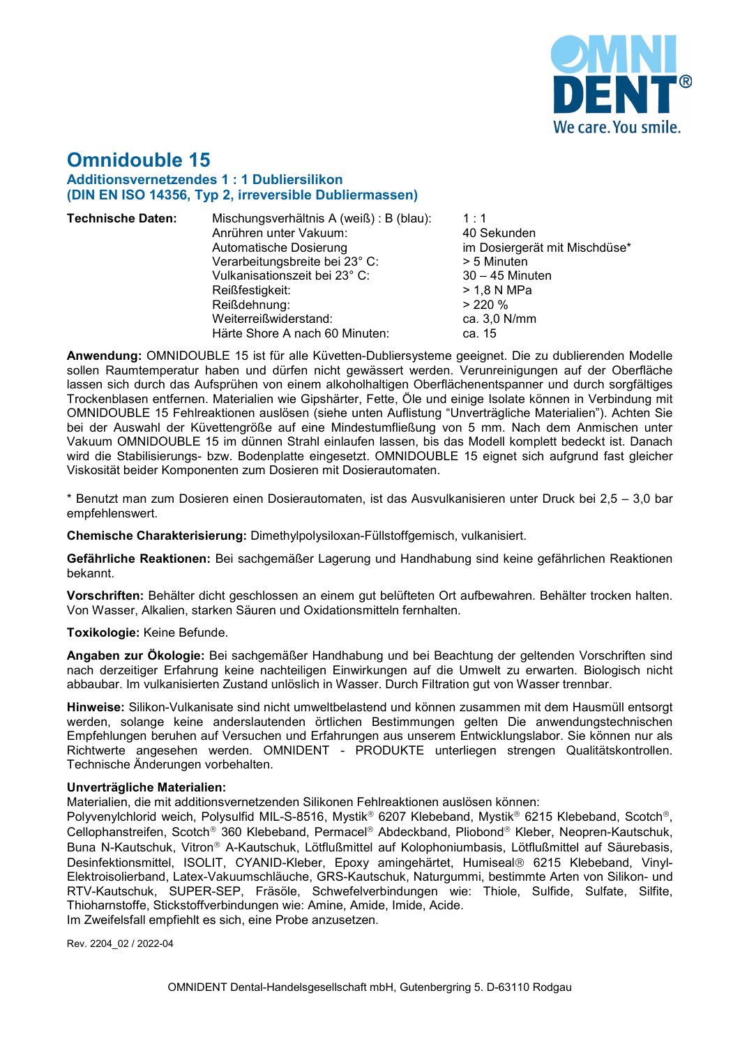

# **Omnidouble 15 Additionsvernetzendes 1 : 1 Dubliersilikon (DIN EN ISO 14356, Typ 2, irreversible Dubliermassen)**

| <b>Technische Daten:</b> | Mischungsverhältnis A (weiß) : B (blau):<br>Anrühren unter Vakuum:<br>Automatische Dosierung<br>Verarbeitungsbreite bei 23° C:<br>Vulkanisationszeit bei 23° C:<br>Reißfestigkeit:<br>Reißdehnung:<br>Weiterreißwiderstand: | 1:1<br>40 Sekunden<br>im Dosiergerät mit Mischdüse*<br>> 5 Minuten<br>$30 - 45$ Minuten<br>> 1,8 N MPa<br>> 220%<br>ca. $3,0$ N/mm |
|--------------------------|-----------------------------------------------------------------------------------------------------------------------------------------------------------------------------------------------------------------------------|------------------------------------------------------------------------------------------------------------------------------------|
|                          | Härte Shore A nach 60 Minuten:                                                                                                                                                                                              | ca. 15                                                                                                                             |

**Anwendung:** OMNIDOUBLE 15 ist für alle Küvetten-Dubliersysteme geeignet. Die zu dublierenden Modelle sollen Raumtemperatur haben und dürfen nicht gewässert werden. Verunreinigungen auf der Oberfläche lassen sich durch das Aufsprühen von einem alkoholhaltigen Oberflächenentspanner und durch sorgfältiges Trockenblasen entfernen. Materialien wie Gipshärter, Fette, Öle und einige Isolate können in Verbindung mit OMNIDOUBLE 15 Fehlreaktionen auslösen (siehe unten Auflistung "Unverträgliche Materialien"). Achten Sie bei der Auswahl der Küvettengröße auf eine Mindestumfließung von 5 mm. Nach dem Anmischen unter Vakuum OMNIDOUBLE 15 im dünnen Strahl einlaufen lassen, bis das Modell komplett bedeckt ist. Danach wird die Stabilisierungs- bzw. Bodenplatte eingesetzt. OMNIDOUBLE 15 eignet sich aufgrund fast gleicher Viskosität beider Komponenten zum Dosieren mit Dosierautomaten.

\* Benutzt man zum Dosieren einen Dosierautomaten, ist das Ausvulkanisieren unter Druck bei 2,5 – 3,0 bar empfehlenswert.

**Chemische Charakterisierung:** Dimethylpolysiloxan-Füllstoffgemisch, vulkanisiert.

**Gefährliche Reaktionen:** Bei sachgemäßer Lagerung und Handhabung sind keine gefährlichen Reaktionen bekannt.

**Vorschriften:** Behälter dicht geschlossen an einem gut belüfteten Ort aufbewahren. Behälter trocken halten. Von Wasser, Alkalien, starken Säuren und Oxidationsmitteln fernhalten.

### **Toxikologie:** Keine Befunde.

**Angaben zur Ökologie:** Bei sachgemäßer Handhabung und bei Beachtung der geltenden Vorschriften sind nach derzeitiger Erfahrung keine nachteiligen Einwirkungen auf die Umwelt zu erwarten. Biologisch nicht abbaubar. Im vulkanisierten Zustand unlöslich in Wasser. Durch Filtration gut von Wasser trennbar.

**Hinweise:** Silikon-Vulkanisate sind nicht umweltbelastend und können zusammen mit dem Hausmüll entsorgt werden, solange keine anderslautenden örtlichen Bestimmungen gelten Die anwendungstechnischen Empfehlungen beruhen auf Versuchen und Erfahrungen aus unserem Entwicklungslabor. Sie können nur als Richtwerte angesehen werden. OMNIDENT - PRODUKTE unterliegen strengen Qualitätskontrollen. Technische Änderungen vorbehalten.

#### **Unverträgliche Materialien:**

Materialien, die mit additionsvernetzenden Silikonen Fehlreaktionen auslösen können:

Polyvenylchlorid weich, Polysulfid MIL-S-8516, Mystik® 6207 Klebeband, Mystik® 6215 Klebeband, Scotch®, Cellophanstreifen, Scotch® 360 Klebeband, Permacel® Abdeckband, Pliobond® Kleber, Neopren-Kautschuk, Buna N-Kautschuk, Vitron® A-Kautschuk, Lötflußmittel auf Kolophoniumbasis, Lötflußmittel auf Säurebasis, Desinfektionsmittel, ISOLIT, CYANID-Kleber, Epoxy amingehärtet, Humiseal® 6215 Klebeband, Vinyl-Elektroisolierband, Latex-Vakuumschläuche, GRS-Kautschuk, Naturgummi, bestimmte Arten von Silikon- und RTV-Kautschuk, SUPER-SEP, Fräsöle, Schwefelverbindungen wie: Thiole, Sulfide, Sulfate, Silfite, Thioharnstoffe, Stickstoffverbindungen wie: Amine, Amide, Imide, Acide.

Im Zweifelsfall empfiehlt es sich, eine Probe anzusetzen.

Rev. 2204\_02 / 2022-04